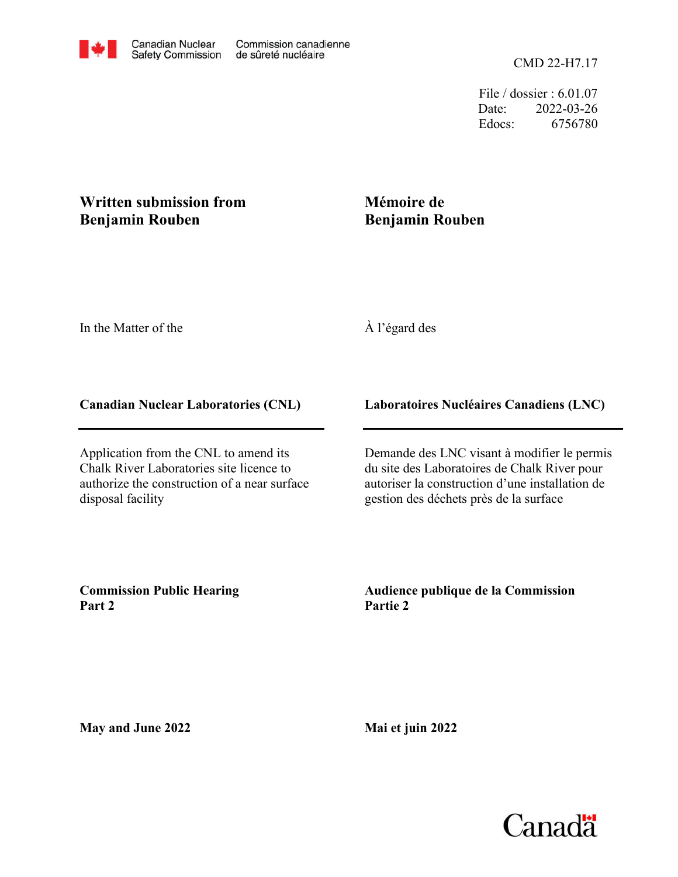File / dossier : 6.01.07 Date: 2022-03-26 Edocs: 6756780

### **Written submission from Benjamin Rouben**

# **Mémoire de Benjamin Rouben**

In the Matter of the

## À l'égard des

### **Canadian Nuclear Laboratories (CNL)**

Application from the CNL to amend its Chalk River Laboratories site licence to authorize the construction of a near surface disposal facility

### **Laboratoires Nucléaires Canadiens (LNC)**

Demande des LNC visant à modifier le permis du site des Laboratoires de Chalk River pour autoriser la construction d'une installation de gestion des déchets près de la surface

**Commission Public Hearing Part 2**

**Audience publique de la Commission Partie 2**

**May and June 2022**

**Mai et juin 2022**